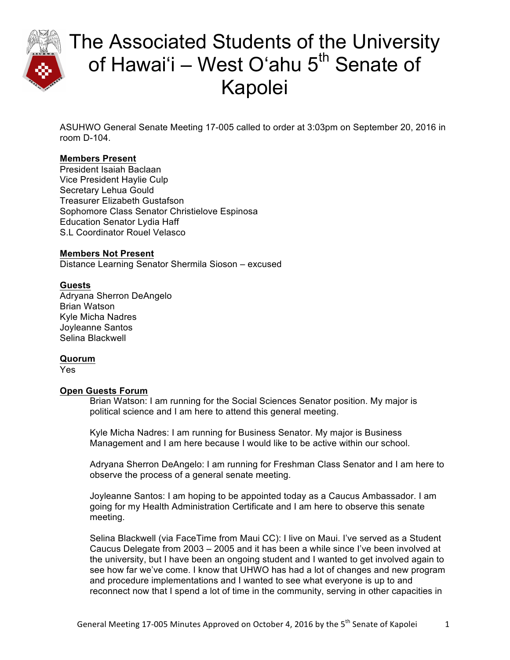

ASUHWO General Senate Meeting 17-005 called to order at 3:03pm on September 20, 2016 in room D-104.

## **Members Present**

President Isaiah Baclaan Vice President Haylie Culp Secretary Lehua Gould Treasurer Elizabeth Gustafson Sophomore Class Senator Christielove Espinosa Education Senator Lydia Haff S.L Coordinator Rouel Velasco

### **Members Not Present**

Distance Learning Senator Shermila Sioson – excused

## **Guests**

Adryana Sherron DeAngelo Brian Watson Kyle Micha Nadres Joyleanne Santos Selina Blackwell

### **Quorum**

Yes

### **Open Guests Forum**

Brian Watson: I am running for the Social Sciences Senator position. My major is political science and I am here to attend this general meeting.

Kyle Micha Nadres: I am running for Business Senator. My major is Business Management and I am here because I would like to be active within our school.

Adryana Sherron DeAngelo: I am running for Freshman Class Senator and I am here to observe the process of a general senate meeting.

Joyleanne Santos: I am hoping to be appointed today as a Caucus Ambassador. I am going for my Health Administration Certificate and I am here to observe this senate meeting.

Selina Blackwell (via FaceTime from Maui CC): I live on Maui. I've served as a Student Caucus Delegate from 2003 – 2005 and it has been a while since I've been involved at the university, but I have been an ongoing student and I wanted to get involved again to see how far we've come. I know that UHWO has had a lot of changes and new program and procedure implementations and I wanted to see what everyone is up to and reconnect now that I spend a lot of time in the community, serving in other capacities in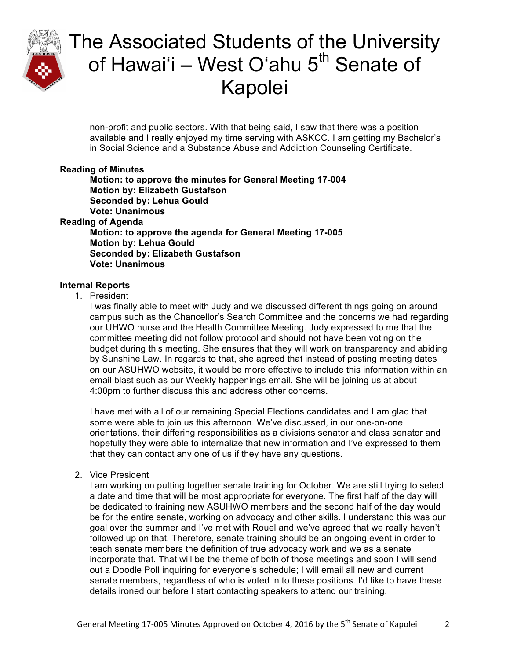

non-profit and public sectors. With that being said, I saw that there was a position available and I really enjoyed my time serving with ASKCC. I am getting my Bachelor's in Social Science and a Substance Abuse and Addiction Counseling Certificate.

### **Reading of Minutes**

**Motion: to approve the minutes for General Meeting 17-004 Motion by: Elizabeth Gustafson Seconded by: Lehua Gould Vote: Unanimous Reading of Agenda Motion: to approve the agenda for General Meeting 17-005 Motion by: Lehua Gould Seconded by: Elizabeth Gustafson Vote: Unanimous**

### **Internal Reports**

1. President

I was finally able to meet with Judy and we discussed different things going on around campus such as the Chancellor's Search Committee and the concerns we had regarding our UHWO nurse and the Health Committee Meeting. Judy expressed to me that the committee meeting did not follow protocol and should not have been voting on the budget during this meeting. She ensures that they will work on transparency and abiding by Sunshine Law. In regards to that, she agreed that instead of posting meeting dates on our ASUHWO website, it would be more effective to include this information within an email blast such as our Weekly happenings email. She will be joining us at about 4:00pm to further discuss this and address other concerns.

I have met with all of our remaining Special Elections candidates and I am glad that some were able to join us this afternoon. We've discussed, in our one-on-one orientations, their differing responsibilities as a divisions senator and class senator and hopefully they were able to internalize that new information and I've expressed to them that they can contact any one of us if they have any questions.

2. Vice President

I am working on putting together senate training for October. We are still trying to select a date and time that will be most appropriate for everyone. The first half of the day will be dedicated to training new ASUHWO members and the second half of the day would be for the entire senate, working on advocacy and other skills. I understand this was our goal over the summer and I've met with Rouel and we've agreed that we really haven't followed up on that. Therefore, senate training should be an ongoing event in order to teach senate members the definition of true advocacy work and we as a senate incorporate that. That will be the theme of both of those meetings and soon I will send out a Doodle Poll inquiring for everyone's schedule; I will email all new and current senate members, regardless of who is voted in to these positions. I'd like to have these details ironed our before I start contacting speakers to attend our training.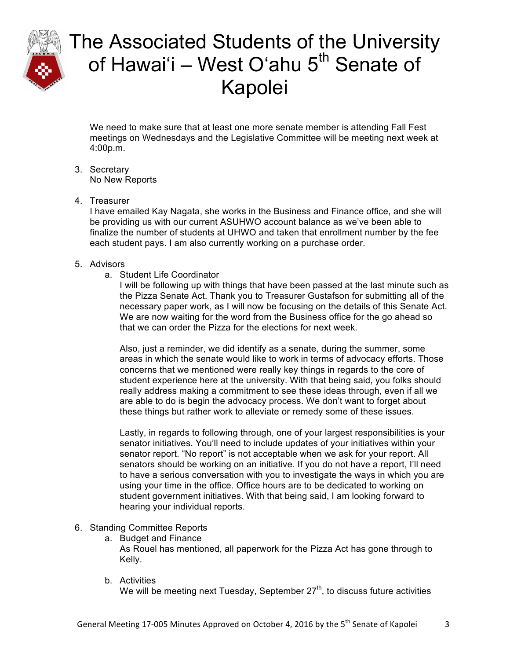

We need to make sure that at least one more senate member is attending Fall Fest meetings on Wednesdays and the Legislative Committee will be meeting next week at 4:00p.m.

- 3. Secretary No New Reports
- 4. Treasurer

I have emailed Kay Nagata, she works in the Business and Finance office, and she will be providing us with our current ASUHWO account balance as we've been able to finalize the number of students at UHWO and taken that enrollment number by the fee each student pays. I am also currently working on a purchase order.

### 5. Advisors

a. Student Life Coordinator

I will be following up with things that have been passed at the last minute such as the Pizza Senate Act. Thank you to Treasurer Gustafson for submitting all of the necessary paper work, as I will now be focusing on the details of this Senate Act. We are now waiting for the word from the Business office for the go ahead so that we can order the Pizza for the elections for next week.

Also, just a reminder, we did identify as a senate, during the summer, some areas in which the senate would like to work in terms of advocacy efforts. Those concerns that we mentioned were really key things in regards to the core of student experience here at the university. With that being said, you folks should really address making a commitment to see these ideas through, even if all we are able to do is begin the advocacy process. We don't want to forget about these things but rather work to alleviate or remedy some of these issues.

Lastly, in regards to following through, one of your largest responsibilities is your senator initiatives. You'll need to include updates of your initiatives within your senator report. "No report" is not acceptable when we ask for your report. All senators should be working on an initiative. If you do not have a report, I'll need to have a serious conversation with you to investigate the ways in which you are using your time in the office. Office hours are to be dedicated to working on student government initiatives. With that being said, I am looking forward to hearing your individual reports.

- 6. Standing Committee Reports
	- a. Budget and Finance

As Rouel has mentioned, all paperwork for the Pizza Act has gone through to Kelly.

b. Activities

We will be meeting next Tuesday, September  $27<sup>th</sup>$ , to discuss future activities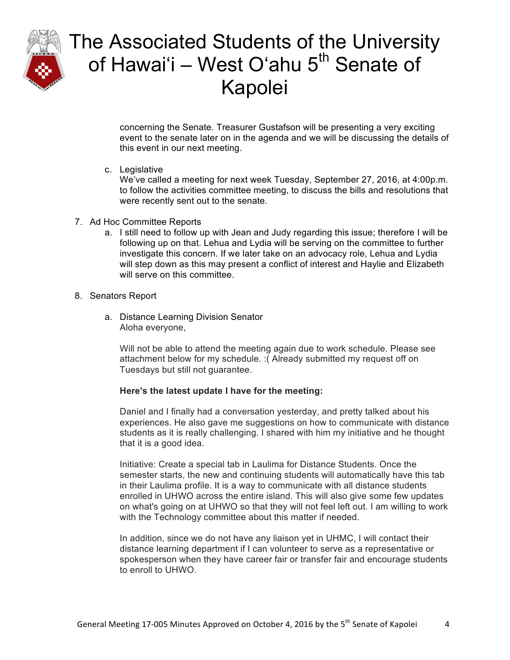

concerning the Senate. Treasurer Gustafson will be presenting a very exciting event to the senate later on in the agenda and we will be discussing the details of this event in our next meeting.

c. Legislative

We've called a meeting for next week Tuesday, September 27, 2016, at 4:00p.m. to follow the activities committee meeting, to discuss the bills and resolutions that were recently sent out to the senate.

- 7. Ad Hoc Committee Reports
	- a. I still need to follow up with Jean and Judy regarding this issue; therefore I will be following up on that. Lehua and Lydia will be serving on the committee to further investigate this concern. If we later take on an advocacy role, Lehua and Lydia will step down as this may present a conflict of interest and Haylie and Elizabeth will serve on this committee.
- 8. Senators Report
	- a. Distance Learning Division Senator Aloha everyone,

Will not be able to attend the meeting again due to work schedule. Please see attachment below for my schedule. :( Already submitted my request off on Tuesdays but still not guarantee.

### **Here's the latest update I have for the meeting:**

Daniel and I finally had a conversation yesterday, and pretty talked about his experiences. He also gave me suggestions on how to communicate with distance students as it is really challenging. I shared with him my initiative and he thought that it is a good idea.

Initiative: Create a special tab in Laulima for Distance Students. Once the semester starts, the new and continuing students will automatically have this tab in their Laulima profile. It is a way to communicate with all distance students enrolled in UHWO across the entire island. This will also give some few updates on what's going on at UHWO so that they will not feel left out. I am willing to work with the Technology committee about this matter if needed.

In addition, since we do not have any liaison yet in UHMC, I will contact their distance learning department if I can volunteer to serve as a representative or spokesperson when they have career fair or transfer fair and encourage students to enroll to UHWO.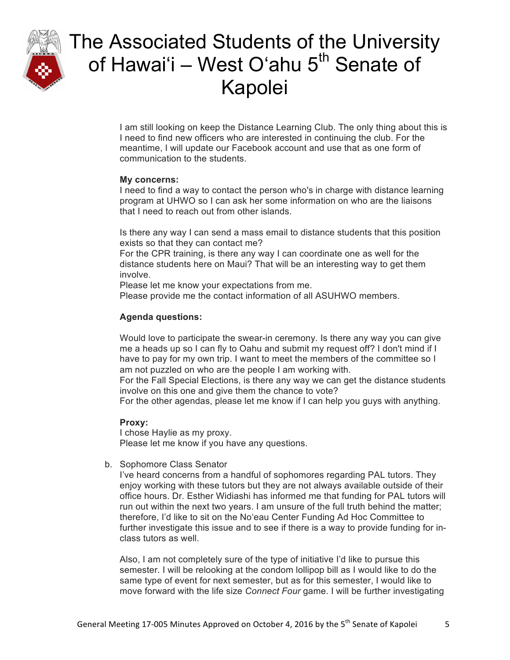

I am still looking on keep the Distance Learning Club. The only thing about this is I need to find new officers who are interested in continuing the club. For the meantime, I will update our Facebook account and use that as one form of communication to the students.

#### **My concerns:**

I need to find a way to contact the person who's in charge with distance learning program at UHWO so I can ask her some information on who are the liaisons that I need to reach out from other islands.

Is there any way I can send a mass email to distance students that this position exists so that they can contact me?

For the CPR training, is there any way I can coordinate one as well for the distance students here on Maui? That will be an interesting way to get them involve.

Please let me know your expectations from me.

Please provide me the contact information of all ASUHWO members.

## **Agenda questions:**

Would love to participate the swear-in ceremony. Is there any way you can give me a heads up so I can fly to Oahu and submit my request off? I don't mind if I have to pay for my own trip. I want to meet the members of the committee so I am not puzzled on who are the people I am working with.

For the Fall Special Elections, is there any way we can get the distance students involve on this one and give them the chance to vote?

For the other agendas, please let me know if I can help you guys with anything.

### **Proxy:**

I chose Haylie as my proxy. Please let me know if you have any questions.

b. Sophomore Class Senator

I've heard concerns from a handful of sophomores regarding PAL tutors. They enjoy working with these tutors but they are not always available outside of their office hours. Dr. Esther Widiashi has informed me that funding for PAL tutors will run out within the next two years. I am unsure of the full truth behind the matter; therefore, I'd like to sit on the Noʻeau Center Funding Ad Hoc Committee to further investigate this issue and to see if there is a way to provide funding for inclass tutors as well.

Also, I am not completely sure of the type of initiative I'd like to pursue this semester. I will be relooking at the condom lollipop bill as I would like to do the same type of event for next semester, but as for this semester, I would like to move forward with the life size *Connect Four* game. I will be further investigating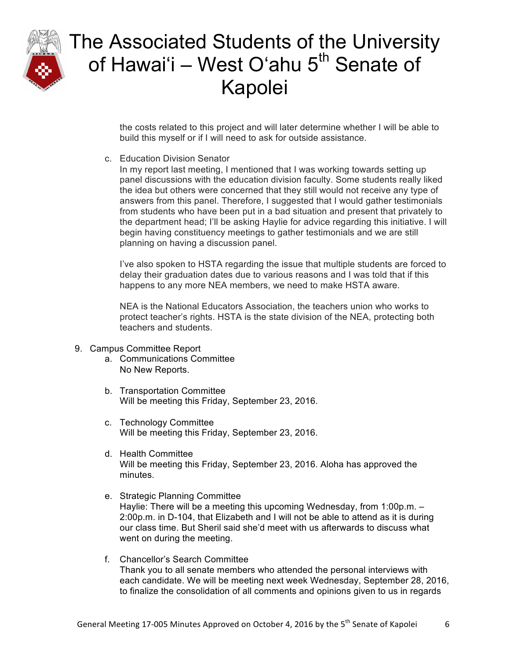

the costs related to this project and will later determine whether I will be able to build this myself or if I will need to ask for outside assistance.

c. Education Division Senator

In my report last meeting, I mentioned that I was working towards setting up panel discussions with the education division faculty. Some students really liked the idea but others were concerned that they still would not receive any type of answers from this panel. Therefore, I suggested that I would gather testimonials from students who have been put in a bad situation and present that privately to the department head; I'll be asking Haylie for advice regarding this initiative. I will begin having constituency meetings to gather testimonials and we are still planning on having a discussion panel.

I've also spoken to HSTA regarding the issue that multiple students are forced to delay their graduation dates due to various reasons and I was told that if this happens to any more NEA members, we need to make HSTA aware.

NEA is the National Educators Association, the teachers union who works to protect teacher's rights. HSTA is the state division of the NEA, protecting both teachers and students.

- 9. Campus Committee Report
	- a. Communications Committee No New Reports.
	- b. Transportation Committee Will be meeting this Friday, September 23, 2016.
	- c. Technology Committee Will be meeting this Friday, September 23, 2016.
	- d. Health Committee Will be meeting this Friday, September 23, 2016. Aloha has approved the minutes.
	- e. Strategic Planning Committee Haylie: There will be a meeting this upcoming Wednesday, from 1:00p.m. – 2:00p.m. in D-104, that Elizabeth and I will not be able to attend as it is during our class time. But Sheril said she'd meet with us afterwards to discuss what went on during the meeting.
	- f. Chancellor's Search Committee Thank you to all senate members who attended the personal interviews with each candidate. We will be meeting next week Wednesday, September 28, 2016, to finalize the consolidation of all comments and opinions given to us in regards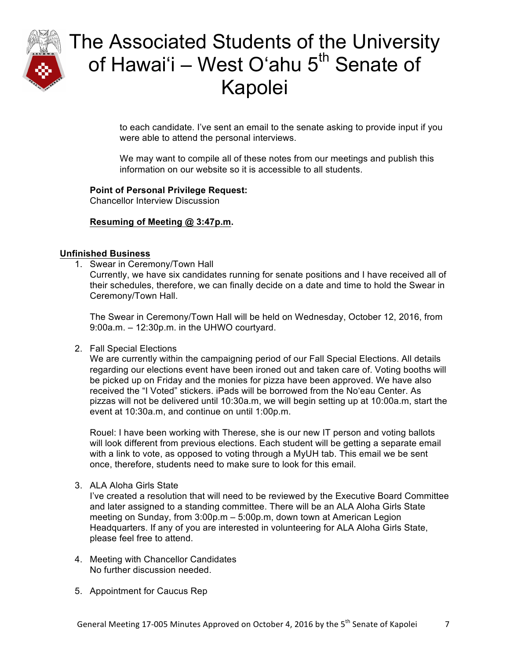

to each candidate. I've sent an email to the senate asking to provide input if you were able to attend the personal interviews.

We may want to compile all of these notes from our meetings and publish this information on our website so it is accessible to all students.

## **Point of Personal Privilege Request:**

Chancellor Interview Discussion

### **Resuming of Meeting @ 3:47p.m.**

### **Unfinished Business**

1. Swear in Ceremony/Town Hall

Currently, we have six candidates running for senate positions and I have received all of their schedules, therefore, we can finally decide on a date and time to hold the Swear in Ceremony/Town Hall.

The Swear in Ceremony/Town Hall will be held on Wednesday, October 12, 2016, from 9:00a.m. – 12:30p.m. in the UHWO courtyard.

2. Fall Special Elections

We are currently within the campaigning period of our Fall Special Elections. All details regarding our elections event have been ironed out and taken care of. Voting booths will be picked up on Friday and the monies for pizza have been approved. We have also received the "I Voted" stickers. iPads will be borrowed from the Noʻeau Center. As pizzas will not be delivered until 10:30a.m, we will begin setting up at 10:00a.m, start the event at 10:30a.m, and continue on until 1:00p.m.

Rouel: I have been working with Therese, she is our new IT person and voting ballots will look different from previous elections. Each student will be getting a separate email with a link to vote, as opposed to voting through a MyUH tab. This email we be sent once, therefore, students need to make sure to look for this email.

3. ALA Aloha Girls State

I've created a resolution that will need to be reviewed by the Executive Board Committee and later assigned to a standing committee. There will be an ALA Aloha Girls State meeting on Sunday, from 3:00p.m – 5:00p.m, down town at American Legion Headquarters. If any of you are interested in volunteering for ALA Aloha Girls State, please feel free to attend.

- 4. Meeting with Chancellor Candidates No further discussion needed.
- 5. Appointment for Caucus Rep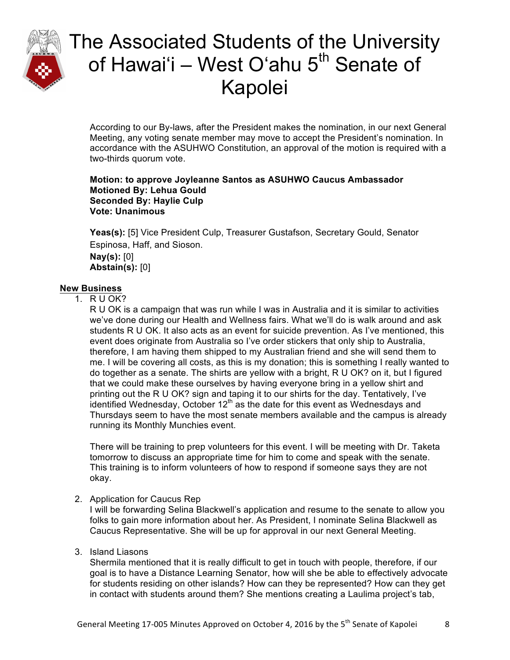

According to our By-laws, after the President makes the nomination, in our next General Meeting, any voting senate member may move to accept the President's nomination. In accordance with the ASUHWO Constitution, an approval of the motion is required with a two-thirds quorum vote.

#### **Motion: to approve Joyleanne Santos as ASUHWO Caucus Ambassador Motioned By: Lehua Gould Seconded By: Haylie Culp Vote: Unanimous**

**Yeas(s):** [5] Vice President Culp, Treasurer Gustafson, Secretary Gould, Senator Espinosa, Haff, and Sioson. **Nay(s):** [0] **Abstain(s):** [0]

## **New Business**

## 1. R U OK?

R U OK is a campaign that was run while I was in Australia and it is similar to activities we've done during our Health and Wellness fairs. What we'll do is walk around and ask students R U OK. It also acts as an event for suicide prevention. As I've mentioned, this event does originate from Australia so I've order stickers that only ship to Australia, therefore, I am having them shipped to my Australian friend and she will send them to me. I will be covering all costs, as this is my donation; this is something I really wanted to do together as a senate. The shirts are yellow with a bright, R U OK? on it, but I figured that we could make these ourselves by having everyone bring in a yellow shirt and printing out the R U OK? sign and taping it to our shirts for the day. Tentatively, I've identified Wednesday, October  $12<sup>th</sup>$  as the date for this event as Wednesdays and Thursdays seem to have the most senate members available and the campus is already running its Monthly Munchies event.

There will be training to prep volunteers for this event. I will be meeting with Dr. Taketa tomorrow to discuss an appropriate time for him to come and speak with the senate. This training is to inform volunteers of how to respond if someone says they are not okay.

### 2. Application for Caucus Rep

I will be forwarding Selina Blackwell's application and resume to the senate to allow you folks to gain more information about her. As President, I nominate Selina Blackwell as Caucus Representative. She will be up for approval in our next General Meeting.

### 3. Island Liasons

Shermila mentioned that it is really difficult to get in touch with people, therefore, if our goal is to have a Distance Learning Senator, how will she be able to effectively advocate for students residing on other islands? How can they be represented? How can they get in contact with students around them? She mentions creating a Laulima project's tab,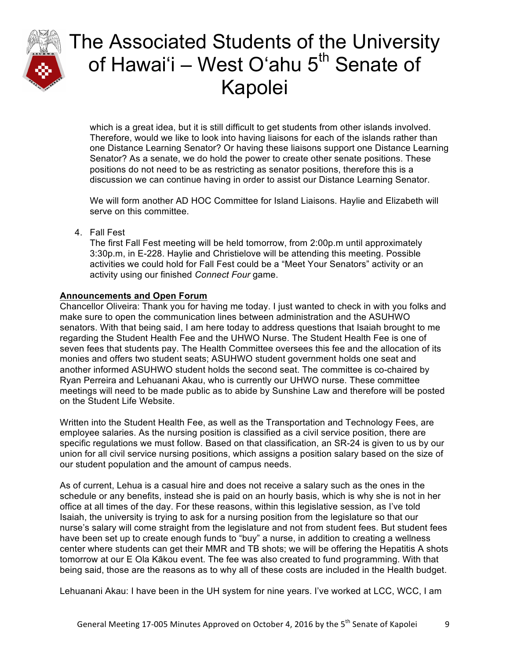

which is a great idea, but it is still difficult to get students from other islands involved. Therefore, would we like to look into having liaisons for each of the islands rather than one Distance Learning Senator? Or having these liaisons support one Distance Learning Senator? As a senate, we do hold the power to create other senate positions. These positions do not need to be as restricting as senator positions, therefore this is a discussion we can continue having in order to assist our Distance Learning Senator.

We will form another AD HOC Committee for Island Liaisons. Haylie and Elizabeth will serve on this committee.

4. Fall Fest

The first Fall Fest meeting will be held tomorrow, from 2:00p.m until approximately 3:30p.m, in E-228. Haylie and Christielove will be attending this meeting. Possible activities we could hold for Fall Fest could be a "Meet Your Senators" activity or an activity using our finished *Connect Four* game.

## **Announcements and Open Forum**

Chancellor Oliveira: Thank you for having me today. I just wanted to check in with you folks and make sure to open the communication lines between administration and the ASUHWO senators. With that being said, I am here today to address questions that Isaiah brought to me regarding the Student Health Fee and the UHWO Nurse. The Student Health Fee is one of seven fees that students pay. The Health Committee oversees this fee and the allocation of its monies and offers two student seats; ASUHWO student government holds one seat and another informed ASUHWO student holds the second seat. The committee is co-chaired by Ryan Perreira and Lehuanani Akau, who is currently our UHWO nurse. These committee meetings will need to be made public as to abide by Sunshine Law and therefore will be posted on the Student Life Website.

Written into the Student Health Fee, as well as the Transportation and Technology Fees, are employee salaries. As the nursing position is classified as a civil service position, there are specific regulations we must follow. Based on that classification, an SR-24 is given to us by our union for all civil service nursing positions, which assigns a position salary based on the size of our student population and the amount of campus needs.

As of current, Lehua is a casual hire and does not receive a salary such as the ones in the schedule or any benefits, instead she is paid on an hourly basis, which is why she is not in her office at all times of the day. For these reasons, within this legislative session, as I've told Isaiah, the university is trying to ask for a nursing position from the legislature so that our nurse's salary will come straight from the legislature and not from student fees. But student fees have been set up to create enough funds to "buy" a nurse, in addition to creating a wellness center where students can get their MMR and TB shots; we will be offering the Hepatitis A shots tomorrow at our E Ola Kākou event. The fee was also created to fund programming. With that being said, those are the reasons as to why all of these costs are included in the Health budget.

Lehuanani Akau: I have been in the UH system for nine years. I've worked at LCC, WCC, I am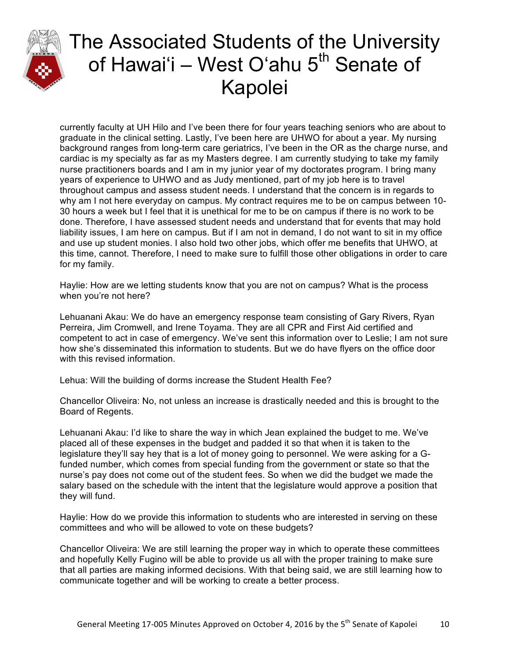

currently faculty at UH Hilo and I've been there for four years teaching seniors who are about to graduate in the clinical setting. Lastly, I've been here are UHWO for about a year. My nursing background ranges from long-term care geriatrics, I've been in the OR as the charge nurse, and cardiac is my specialty as far as my Masters degree. I am currently studying to take my family nurse practitioners boards and I am in my junior year of my doctorates program. I bring many years of experience to UHWO and as Judy mentioned, part of my job here is to travel throughout campus and assess student needs. I understand that the concern is in regards to why am I not here everyday on campus. My contract requires me to be on campus between 10- 30 hours a week but I feel that it is unethical for me to be on campus if there is no work to be done. Therefore, I have assessed student needs and understand that for events that may hold liability issues, I am here on campus. But if I am not in demand, I do not want to sit in my office and use up student monies. I also hold two other jobs, which offer me benefits that UHWO, at this time, cannot. Therefore, I need to make sure to fulfill those other obligations in order to care for my family.

Haylie: How are we letting students know that you are not on campus? What is the process when you're not here?

Lehuanani Akau: We do have an emergency response team consisting of Gary Rivers, Ryan Perreira, Jim Cromwell, and Irene Toyama. They are all CPR and First Aid certified and competent to act in case of emergency. We've sent this information over to Leslie; I am not sure how she's disseminated this information to students. But we do have flyers on the office door with this revised information.

Lehua: Will the building of dorms increase the Student Health Fee?

Chancellor Oliveira: No, not unless an increase is drastically needed and this is brought to the Board of Regents.

Lehuanani Akau: I'd like to share the way in which Jean explained the budget to me. We've placed all of these expenses in the budget and padded it so that when it is taken to the legislature they'll say hey that is a lot of money going to personnel. We were asking for a Gfunded number, which comes from special funding from the government or state so that the nurse's pay does not come out of the student fees. So when we did the budget we made the salary based on the schedule with the intent that the legislature would approve a position that they will fund.

Haylie: How do we provide this information to students who are interested in serving on these committees and who will be allowed to vote on these budgets?

Chancellor Oliveira: We are still learning the proper way in which to operate these committees and hopefully Kelly Fugino will be able to provide us all with the proper training to make sure that all parties are making informed decisions. With that being said, we are still learning how to communicate together and will be working to create a better process.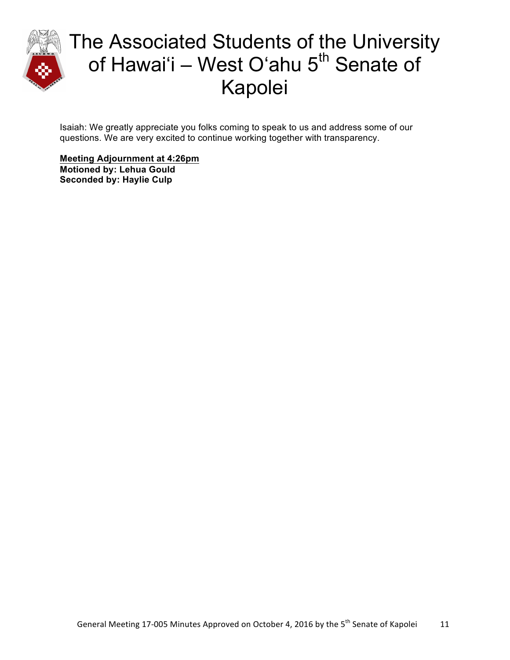

Isaiah: We greatly appreciate you folks coming to speak to us and address some of our questions. We are very excited to continue working together with transparency.

**Meeting Adjournment at 4:26pm Motioned by: Lehua Gould Seconded by: Haylie Culp**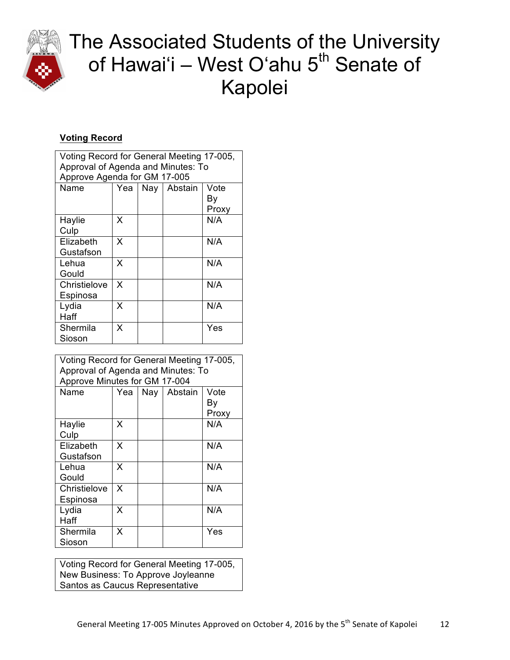

## **Voting Record**

| Voting Record for General Meeting 17-005,<br>Approval of Agenda and Minutes: To<br>Approve Agenda for GM 17-005 |     |  |               |             |  |  |  |
|-----------------------------------------------------------------------------------------------------------------|-----|--|---------------|-------------|--|--|--|
| Name                                                                                                            | Yea |  | Nay   Abstain | Vote        |  |  |  |
|                                                                                                                 |     |  |               | Bγ<br>Proxy |  |  |  |
| Haylie<br>Culp                                                                                                  | x   |  |               | N/A         |  |  |  |
| Elizabeth<br>Gustafson                                                                                          | x   |  |               | N/A         |  |  |  |
| Lehua<br>Gould                                                                                                  | x   |  |               | N/A         |  |  |  |
| Christielove<br>Espinosa                                                                                        | x   |  |               | N/A         |  |  |  |
| Lydia<br>Haff                                                                                                   | x   |  |               | N/A         |  |  |  |
| Shermila<br>Sioson                                                                                              | x   |  |               | Yes         |  |  |  |

| Voting Record for General Meeting 17-005,<br>Approval of Agenda and Minutes: To<br>Approve Minutes for GM 17-004 |     |  |               |                     |  |  |
|------------------------------------------------------------------------------------------------------------------|-----|--|---------------|---------------------|--|--|
| Name                                                                                                             | Yea |  | Nay   Abstain | Vote<br>Bγ<br>Proxy |  |  |
| Haylie<br>Culp                                                                                                   | x   |  |               | N/A                 |  |  |
| Elizabeth<br>Gustafson                                                                                           | x   |  |               | N/A                 |  |  |
| Lehua<br>Gould                                                                                                   | X   |  |               | N/A                 |  |  |
| Christielove<br>Espinosa                                                                                         | x   |  |               | N/A                 |  |  |
| Lydia<br>Haff                                                                                                    | x   |  |               | N/A                 |  |  |
| Shermila<br>Sioson                                                                                               | x   |  |               | Yes                 |  |  |

Voting Record for General Meeting 17-005, New Business: To Approve Joyleanne Santos as Caucus Representative